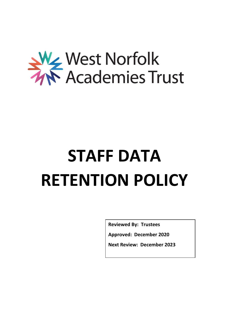

# **STAFF DATA RETENTION POLICY**

**Reviewed By: Trustees**

**Approved: December 2020**

**Next Review: December 2023**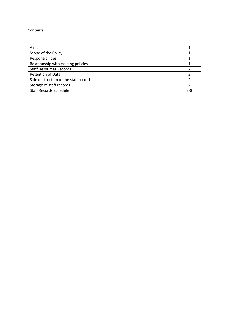#### **Contents**

| Aims                                 |     |
|--------------------------------------|-----|
| Scope of the Policy                  |     |
| Responsibilities                     |     |
| Relationship with existing policies  |     |
| <b>Staff Resources Records</b>       |     |
| <b>Retention of Data</b>             |     |
| Safe destruction of the staff record |     |
| Storage of staff records             |     |
| <b>Staff Records Schedule</b>        | 3-8 |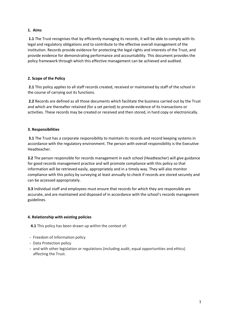#### **1. Aims**

1.1 The Trust recognises that by efficiently managing its records, it will be able to comply with its legal and regulatory obligations and to contribute to the effective overall management of the institution. Records provide evidence for protecting the legal rights and interests of the Trust, and provide evidence for demonstrating performance and accountability. This document provides the policy framework through which this effective management can be achieved and audited.

#### **2. Scope of the Policy**

**2.1** This policy applies to all staff records created, received or maintained by staff of the school in the course of carrying out its functions.

**2.2** Records are defined as all those documents which facilitate the business carried out by the Trust and which are thereafter retained (for a set period) to provide evidence of its transactions or activities. These records may be created or received and then stored, in hard copy or electronically.

#### **3. Responsibilities**

**3.1** The Trust has a corporate responsibility to maintain its records and record keeping systems in accordance with the regulatory environment. The person with overall responsibility is the Executive Headteacher.

**3.2** The person responsible for records management in each school (Headteacher) will give guidance for good records management practice and will promote compliance with this policy so that information will be retrieved easily, appropriately and in a timely way. They will also monitor compliance with this policy by surveying at least annually to check if records are stored securely and can be accessed appropriately.

**3.3** Individual staff and employees must ensure that records for which they are responsible are accurate, and are maintained and disposed of in accordance with the school's records management guidelines.

#### **4. Relationship with existing policies**

**4.1** This policy has been drawn up within the context of:

- Freedom of Information policy
- Data Protection policy
- and with other legislation or regulations (including audit, equal opportunities and ethics) affecting the Trust.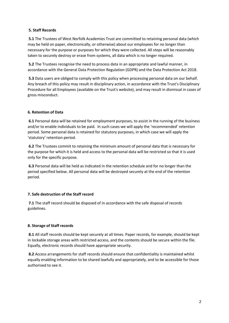#### **5. Staff Records**

**5.1** The Trustees of West Norfolk Academies Trust are committed to retaining personal data (which may be held on paper, electronically, or otherwise) about our employees for no longer than necessary for the purpose or purposes for which they were collected. All steps will be reasonably taken to securely destroy or erase from systems, all data which is no longer required.

**5.2** The Trustees recognise the need to process data in an appropriate and lawful manner, in accordance with the General Data Protection Regulation (GDPR) and the Data Protection Act 2018.

**5.3** Data users are obliged to comply with this policy when processing personal data on our behalf. Any breach of this policy may result in disciplinary action, in accordance with the Trust's Disciplinary Procedure for all Employees (available on the Trust's website), and may result in dismissal in cases of gross misconduct.

#### **6. Retention of Data**

**6.1** Personal data will be retained for employment purposes, to assist in the running of the business and/or to enable individuals to be paid. In such cases we will apply the 'recommended' retention period. Some personal data is retained for statutory purposes, in which case we will apply the 'statutory' retention period.

**6.2** The Trustees commit to retaining the minimum amount of personal data that is necessary for the purpose for which it is held and access to the personal data will be restricted so that it is used only for the specific purpose.

**6.3** Personal data will be held as indicated in the retention schedule and for no longer than the period specified below. All personal data will be destroyed securely at the end of the retention period.

#### **7. Safe destruction of the Staff record**

**7.1** The staff record should be disposed of in accordance with the safe disposal of records guidelines.

#### **8. Storage of Staff records**

**8.1** All staff records should be kept securely at all times. Paper records, for example, should be kept in lockable storage areas with restricted access, and the contents should be secure within the file. Equally, electronic records should have appropriate security.

**8.2** Access arrangements for staff records should ensure that confidentiality is maintained whilst equally enabling information to be shared lawfully and appropriately, and to be accessible for those authorised to see it.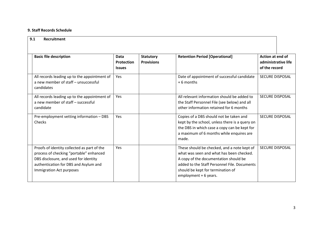### **9. Staff Records Schedule**

| <b>Basic file description</b>                                                                                                                                                                        | <b>Data</b><br>Protection<br><b>Issues</b> | <b>Statutory</b><br><b>Provisions</b> | <b>Retention Period [Operational]</b>                                                                                                                                                                                                          | <b>Action at end of</b><br>administrative life<br>of the record |
|------------------------------------------------------------------------------------------------------------------------------------------------------------------------------------------------------|--------------------------------------------|---------------------------------------|------------------------------------------------------------------------------------------------------------------------------------------------------------------------------------------------------------------------------------------------|-----------------------------------------------------------------|
| All records leading up to the appointment of<br>a new member of staff - unsuccessful<br>candidates                                                                                                   | Yes                                        |                                       | Date of appointment of successful candidate<br>+6 months                                                                                                                                                                                       | <b>SECURE DISPOSAL</b>                                          |
| All records leading up to the appointment of<br>a new member of staff - successful<br>candidate                                                                                                      | <b>Yes</b>                                 |                                       | All relevant information should be added to<br>the Staff Personnel File (see below) and all<br>other information retained for 6 months                                                                                                         | <b>SECURE DISPOSAL</b>                                          |
| Pre-employment vetting information - DBS<br>Checks                                                                                                                                                   | <b>Yes</b>                                 |                                       | Copies of a DBS should not be taken and<br>kept by the school, unless there is a query on<br>the DBS in which case a copy can be kept for<br>a maximum of 6 months while enquires are<br>made.                                                 | <b>SECURE DISPOSAL</b>                                          |
| Proofs of identity collected as part of the<br>process of checking "portable" enhanced<br>DBS disclosure, and used for identity<br>authentication for DBS and Asylum and<br>Immigration Act purposes | Yes                                        |                                       | These should be checked, and a note kept of<br>what was seen and what has been checked.<br>A copy of the documentation should be<br>added to the Staff Personnel File. Documents<br>should be kept for termination of<br>employment + 6 years. | <b>SECURE DISPOSAL</b>                                          |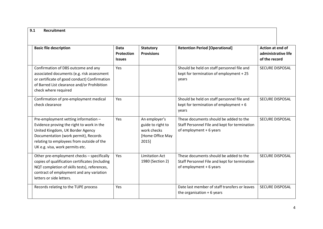| 9.1<br>Recruitment                                                                                                                                                                                                                            |                                            |                                                                                |                                                                                                                    |                                                          |
|-----------------------------------------------------------------------------------------------------------------------------------------------------------------------------------------------------------------------------------------------|--------------------------------------------|--------------------------------------------------------------------------------|--------------------------------------------------------------------------------------------------------------------|----------------------------------------------------------|
| <b>Basic file description</b>                                                                                                                                                                                                                 | <b>Data</b><br>Protection<br><b>Issues</b> | <b>Statutory</b><br><b>Provisions</b>                                          | <b>Retention Period [Operational]</b>                                                                              | Action at end of<br>administrative life<br>of the record |
| Confirmation of DBS outcome and any<br>associated documents (e.g. risk assessment<br>or certificate of good conduct) Confirmation<br>of Barred List clearance and/or Prohibition<br>check where required                                      | Yes                                        |                                                                                | Should be held on staff personnel file and<br>kept for termination of employment + 25<br>years                     | <b>SECURE DISPOSAL</b>                                   |
| Confirmation of pre-employment medical<br>check clearance                                                                                                                                                                                     | Yes                                        |                                                                                | Should be held on staff personnel file and<br>kept for termination of employment + 6<br>years                      | <b>SECURE DISPOSAL</b>                                   |
| Pre-employment vetting information -<br>Evidence proving the right to work in the<br>United Kingdom, UK Border Agency<br>Documentation (work permit), Records<br>relating to employees from outside of the<br>UK e.g. visa, work permits etc. | Yes                                        | An employer's<br>guide to right to<br>work checks<br>[Home Office May<br>2015] | These documents should be added to the<br>Staff Personnel File and kept for termination<br>of employment + 6 years | <b>SECURE DISPOSAL</b>                                   |
| Other pre-employment checks - specifically<br>copies of qualification certificates (including<br>NQT completion of skills tests), references,<br>contract of employment and any variation<br>letters or side letters.                         | Yes                                        | <b>Limitation Act</b><br>1980 (Section 2)                                      | These documents should be added to the<br>Staff Personnel File and kept for termination<br>of employment + 6 years | <b>SECURE DISPOSAL</b>                                   |
| Records relating to the TUPE process                                                                                                                                                                                                          | Yes                                        |                                                                                | Date last member of staff transfers or leaves<br>the organisation $+6$ years                                       | <b>SECURE DISPOSAL</b>                                   |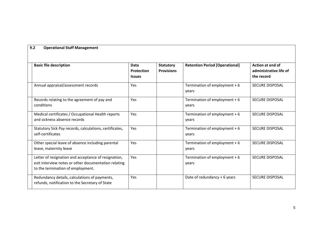| J.L<br>Operational Starf Management                                                                                                               |                                            |                                       |                                         |                                                          |
|---------------------------------------------------------------------------------------------------------------------------------------------------|--------------------------------------------|---------------------------------------|-----------------------------------------|----------------------------------------------------------|
| <b>Basic file description</b>                                                                                                                     | Data<br><b>Protection</b><br><b>Issues</b> | <b>Statutory</b><br><b>Provisions</b> | <b>Retention Period [Operational]</b>   | Action at end of<br>administrative life of<br>the record |
| Annual appraisal/assessment records                                                                                                               | Yes                                        |                                       | Termination of employment + 6<br>years  | <b>SECURE DISPOSAL</b>                                   |
| Records relating to the agreement of pay and<br>conditions                                                                                        | <b>Yes</b>                                 |                                       | Termination of employment + 6<br>years  | <b>SECURE DISPOSAL</b>                                   |
| Medical certificates / Occupational Health reports<br>and sickness absence records                                                                | Yes.                                       |                                       | Termination of employment + 6<br>years  | <b>SECURE DISPOSAL</b>                                   |
| Statutory Sick Pay records, calculations, certificates,<br>self-certificates                                                                      | Yes                                        |                                       | Termination of employment + 6<br>years  | <b>SECURE DISPOSAL</b>                                   |
| Other special leave of absence including parental<br>leave, maternity leave                                                                       | Yes                                        |                                       | Termination of employment $+6$<br>years | <b>SECURE DISPOSAL</b>                                   |
| Letter of resignation and acceptance of resignation,<br>exit interview notes or other documentation relating<br>to the termination of employment. | <b>Yes</b>                                 |                                       | Termination of employment + 6<br>years  | <b>SECURE DISPOSAL</b>                                   |
| Redundancy details, calculations of payments,<br>refunds, notification to the Secretary of State                                                  | Yes                                        |                                       | Date of redundancy + 6 years            | <b>SECURE DISPOSAL</b>                                   |

## **9.2 Operational Staff Management**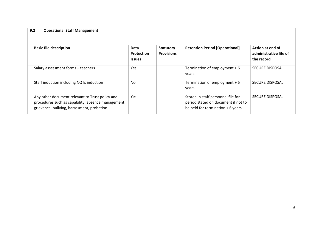# **9.2 Operational Staff Management**

| <b>Basic file description</b>                                                                                                                       | Data<br>Protection<br><b>Issues</b> | <b>Statutory</b><br><b>Provisions</b> | <b>Retention Period [Operational]</b>                                                                           | Action at end of<br>administrative life of<br>the record |
|-----------------------------------------------------------------------------------------------------------------------------------------------------|-------------------------------------|---------------------------------------|-----------------------------------------------------------------------------------------------------------------|----------------------------------------------------------|
| Salary assessment forms - teachers                                                                                                                  | <b>Yes</b>                          |                                       | Termination of employment + 6<br>years                                                                          | <b>SECURE DISPOSAL</b>                                   |
| Staff induction including NQTs induction                                                                                                            | No                                  |                                       | Termination of employment $+6$<br>years                                                                         | <b>SECURE DISPOSAL</b>                                   |
| Any other document relevant to Trust policy and<br>procedures such as capability, absence management,<br>grievance, bullying, harassment, probation | Yes.                                |                                       | Stored in staff personnel file for<br>period stated on document if not to<br>be held for termination $+6$ years | <b>SECURE DISPOSAL</b>                                   |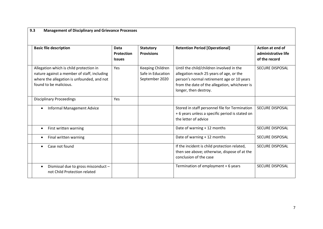| 9.3<br><b>Management of Disciplinary and Grievance Processes</b>                                                                                               |                                            |                                                         |                                                                                                                                                                                                              |                                                          |  |
|----------------------------------------------------------------------------------------------------------------------------------------------------------------|--------------------------------------------|---------------------------------------------------------|--------------------------------------------------------------------------------------------------------------------------------------------------------------------------------------------------------------|----------------------------------------------------------|--|
| <b>Basic file description</b>                                                                                                                                  | Data<br><b>Protection</b><br><b>Issues</b> | <b>Statutory</b><br><b>Provisions</b>                   | <b>Retention Period [Operational]</b>                                                                                                                                                                        | Action at end of<br>administrative life<br>of the record |  |
| Allegation which is child protection in<br>nature against a member of staff, including<br>where the allegation is unfounded, and not<br>found to be malicious. | Yes                                        | Keeping Children<br>Safe in Education<br>September 2020 | Until the child/children involved in the<br>allegation reach 25 years of age, or the<br>person's normal retirement age or 10 years<br>from the date of the allegation, whichever is<br>longer, then destroy. | <b>SECURE DISPOSAL</b>                                   |  |
| <b>Disciplinary Proceedings</b>                                                                                                                                | Yes                                        |                                                         |                                                                                                                                                                                                              |                                                          |  |
| <b>Informal Management Advice</b>                                                                                                                              |                                            |                                                         | Stored in staff personnel file for Termination<br>+ 6 years unless a specific period is stated on<br>the letter of advice                                                                                    | <b>SECURE DISPOSAL</b>                                   |  |
| First written warning                                                                                                                                          |                                            |                                                         | Date of warning + 12 months                                                                                                                                                                                  | <b>SECURE DISPOSAL</b>                                   |  |
| Final written warning                                                                                                                                          |                                            |                                                         | Date of warning + 12 months                                                                                                                                                                                  | <b>SECURE DISPOSAL</b>                                   |  |
| Case not found                                                                                                                                                 |                                            |                                                         | If the incident is child protection related,<br>then see above; otherwise, dispose of at the<br>conclusion of the case                                                                                       | <b>SECURE DISPOSAL</b>                                   |  |
| Dismissal due to gross misconduct -<br>not Child Protection related                                                                                            |                                            |                                                         | Termination of employment + 6 years                                                                                                                                                                          | <b>SECURE DISPOSAL</b>                                   |  |